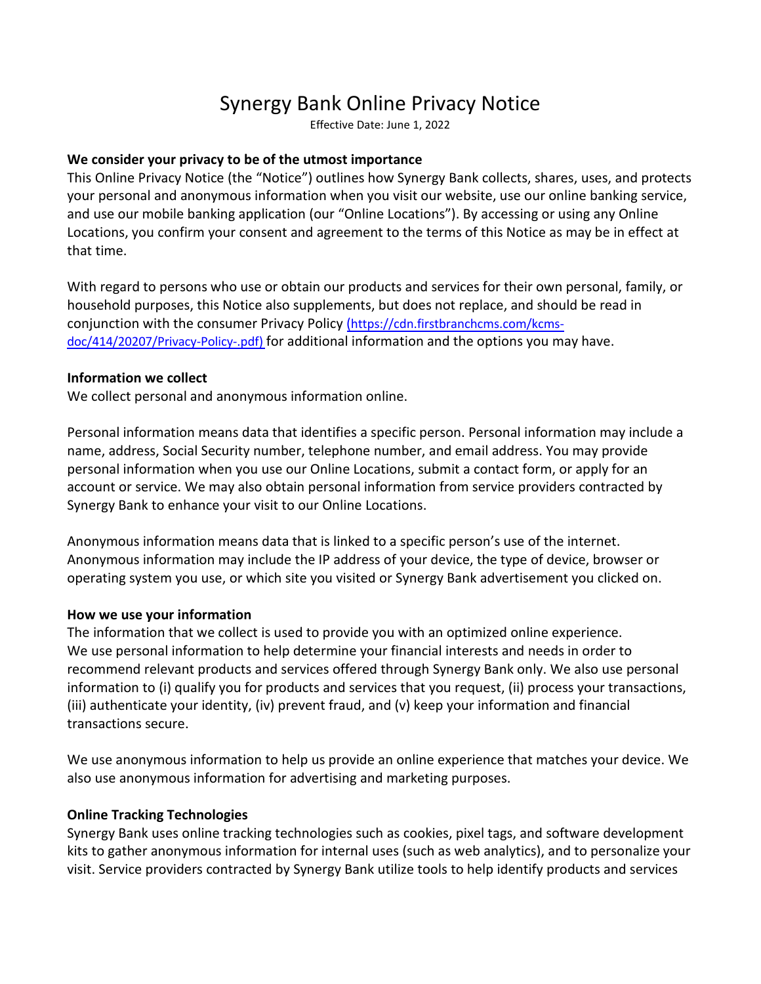# Synergy Bank Online Privacy Notice

Effective Date: June 1, 2022

## **We consider your privacy to be of the utmost importance**

This Online Privacy Notice (the "Notice") outlines how Synergy Bank collects, shares, uses, and protects your personal and anonymous information when you visit our website, use our online banking service, and use our mobile banking application (our "Online Locations"). By accessing or using any Online Locations, you confirm your consent and agreement to the terms of this Notice as may be in effect at that time.

With regard to persons who use or obtain our products and services for their own personal, family, or household purposes, this Notice also supplements, but does not replace, and should be read in conjunction with the consumer Privacy Policy ([https://cdn.firstbranchcms.com/kcms](https://cdn.firstbranchcms.com/kcms-doc/414/20207/Privacy-Policy-.pdf)doc[/414/20207/Privacy-Policy-.pdf\)](https://cdn.firstbranchcms.com/kcms-doc/414/20207/Privacy-Policy-.pdf) for additional information and the options you may have.

#### **Information we collect**

We collect personal and anonymous information online.

Personal information means data that identifies a specific person. Personal information may include a name, address, Social Security number, telephone number, and email address. You may provide personal information when you use our Online Locations, submit a contact form, or apply for an account or service. We may also obtain personal information from service providers contracted by Synergy Bank to enhance your visit to our Online Locations.

Anonymous information means data that is linked to a specific person's use of the internet. Anonymous information may include the IP address of your device, the type of device, browser or operating system you use, or which site you visited or Synergy Bank advertisement you clicked on.

#### **How we use your information**

The information that we collect is used to provide you with an optimized online experience. We use personal information to help determine your financial interests and needs in order to recommend relevant products and services offered through Synergy Bank only. We also use personal information to (i) qualify you for products and services that you request, (ii) process your transactions, (iii) authenticate your identity, (iv) prevent fraud, and (v) keep your information and financial transactions secure.

We use anonymous information to help us provide an online experience that matches your device. We also use anonymous information for advertising and marketing purposes.

#### **Online Tracking Technologies**

Synergy Bank uses online tracking technologies such as cookies, pixel tags, and software development kits to gather anonymous information for internal uses (such as web analytics), and to personalize your visit. Service providers contracted by Synergy Bank utilize tools to help identify products and services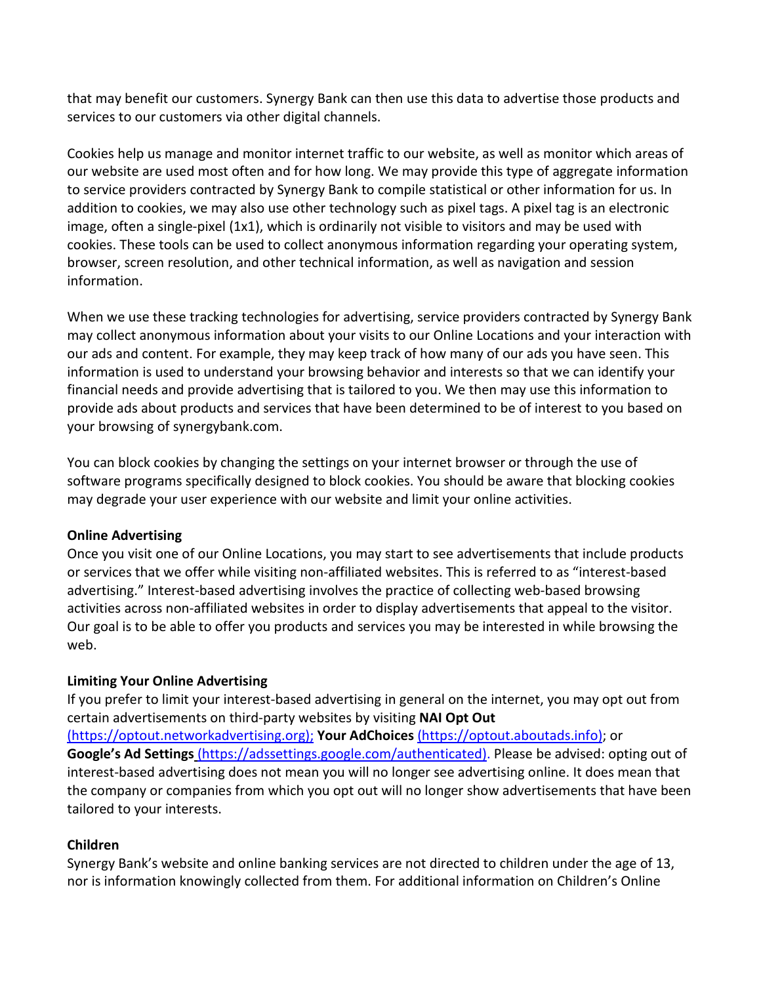that may benefit our customers. Synergy Bank can then use this data to advertise those products and services to our customers via other digital channels.

Cookies help us manage and monitor internet traffic to our website, as well as monitor which areas of our website are used most often and for how long. We may provide this type of aggregate information to service providers contracted by Synergy Bank to compile statistical or other information for us. In addition to cookies, we may also use other technology such as pixel tags. A pixel tag is an electronic image, often a single-pixel (1x1), which is ordinarily not visible to visitors and may be used with cookies. These tools can be used to collect anonymous information regarding your operating system, browser, screen resolution, and other technical information, as well as navigation and session information.

When we use these tracking technologies for advertising, service providers contracted by Synergy Bank may collect anonymous information about your visits to our Online Locations and your interaction with our ads and content. For example, they may keep track of how many of our ads you have seen. This information is used to understand your browsing behavior and interests so that we can identify your financial needs and provide advertising that is tailored to you. We then may use this information to provide ads about products and services that have been determined to be of interest to you based on your browsing of synergybank.com.

You can block cookies by changing the settings on your internet browser or through the use of software programs specifically designed to block cookies. You should be aware that blocking cookies may degrade your user experience with our website and limit your online activities.

# **Online Advertising**

Once you visit one of our Online Locations, you may start to see advertisements that include products or services that we offer while visiting non-affiliated websites. This is referred to as "interest-based advertising." Interest-based advertising involves the practice of collecting web-based browsing activities across non-affiliated websites in order to display advertisements that appeal to the visitor. Our goal is to be able to offer you products and services you may be interested in while browsing the web.

# **Limiting Your Online Advertising**

tailored to your interests.

If you prefer to limit your interest-based advertising in general on the internet, you may opt out from certain advertisements on third-party websites by visiting **NAI Opt Out** ([https://optout.networkadvertising.org\);](https://optout.networkadvertising.org) **Your AdChoices** [\(https://optout.aboutads.info\); or](https://optout.aboutads.info) **Google's Ad Settings** ([https://adssettings.google.com/authenticated\).](https://adssettings.google.com/authenticated) Please be advised: opting out of interest-based advertising does not mean you will no longer see advertising online. It does mean that

the company or companies from which you opt out will no longer show advertisements that have been

# **Children**

Synergy Bank's website and online banking services are not directed to children under the age of 13, nor is information knowingly collected from them. For additional information on Children's Online